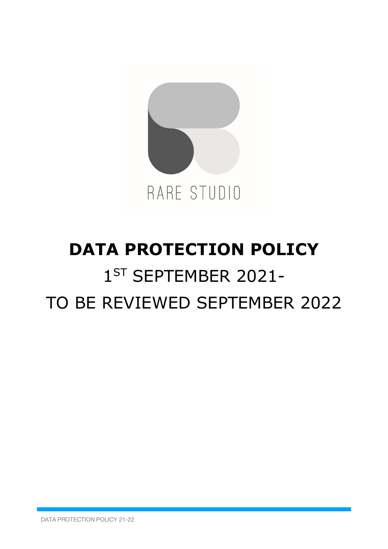

# **DATA PROTECTION POLICY** 1<sup>ST</sup> SEPTEMBER 2021-TO BE REVIEWED SEPTEMBER 2022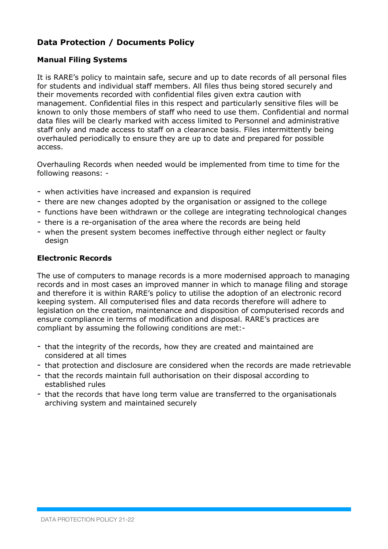# **Data Protection / Documents Policy**

# **Manual Filing Systems**

It is RARE's policy to maintain safe, secure and up to date records of all personal files for students and individual staff members. All files thus being stored securely and their movements recorded with confidential files given extra caution with management. Confidential files in this respect and particularly sensitive files will be known to only those members of staff who need to use them. Confidential and normal data files will be clearly marked with access limited to Personnel and administrative staff only and made access to staff on a clearance basis. Files intermittently being overhauled periodically to ensure they are up to date and prepared for possible access.

Overhauling Records when needed would be implemented from time to time for the following reasons: -

- when activities have increased and expansion is required
- there are new changes adopted by the organisation or assigned to the college
- functions have been withdrawn or the college are integrating technological changes
- there is a re-organisation of the area where the records are being held
- when the present system becomes ineffective through either neglect or faulty design

#### **Electronic Records**

The use of computers to manage records is a more modernised approach to managing records and in most cases an improved manner in which to manage filing and storage and therefore it is within RARE's policy to utilise the adoption of an electronic record keeping system. All computerised files and data records therefore will adhere to legislation on the creation, maintenance and disposition of computerised records and ensure compliance in terms of modification and disposal. RARE's practices are compliant by assuming the following conditions are met:-

- that the integrity of the records, how they are created and maintained are considered at all times
- that protection and disclosure are considered when the records are made retrievable
- that the records maintain full authorisation on their disposal according to established rules
- that the records that have long term value are transferred to the organisationals archiving system and maintained securely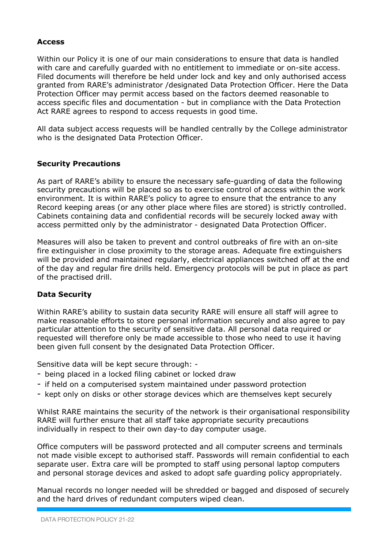#### **Access**

Within our Policy it is one of our main considerations to ensure that data is handled with care and carefully guarded with no entitlement to immediate or on-site access. Filed documents will therefore be held under lock and key and only authorised access granted from RARE's administrator /designated Data Protection Officer. Here the Data Protection Officer may permit access based on the factors deemed reasonable to access specific files and documentation - but in compliance with the Data Protection Act RARE agrees to respond to access requests in good time.

All data subject access requests will be handled centrally by the College administrator who is the designated Data Protection Officer.

#### **Security Precautions**

As part of RARE's ability to ensure the necessary safe-guarding of data the following security precautions will be placed so as to exercise control of access within the work environment. It is within RARE's policy to agree to ensure that the entrance to any Record keeping areas (or any other place where files are stored) is strictly controlled. Cabinets containing data and confidential records will be securely locked away with access permitted only by the administrator - designated Data Protection Officer.

Measures will also be taken to prevent and control outbreaks of fire with an on-site fire extinguisher in close proximity to the storage areas. Adequate fire extinguishers will be provided and maintained regularly, electrical appliances switched off at the end of the day and regular fire drills held. Emergency protocols will be put in place as part of the practised drill.

#### **Data Security**

Within RARE's ability to sustain data security RARE will ensure all staff will agree to make reasonable efforts to store personal information securely and also agree to pay particular attention to the security of sensitive data. All personal data required or requested will therefore only be made accessible to those who need to use it having been given full consent by the designated Data Protection Officer.

Sensitive data will be kept secure through: -

- being placed in a locked filing cabinet or locked draw
- if held on a computerised system maintained under password protection
- kept only on disks or other storage devices which are themselves kept securely

Whilst RARE maintains the security of the network is their organisational responsibility RARE will further ensure that all staff take appropriate security precautions individually in respect to their own day-to day computer usage.

Office computers will be password protected and all computer screens and terminals not made visible except to authorised staff. Passwords will remain confidential to each separate user. Extra care will be prompted to staff using personal laptop computers and personal storage devices and asked to adopt safe guarding policy appropriately.

Manual records no longer needed will be shredded or bagged and disposed of securely and the hard drives of redundant computers wiped clean.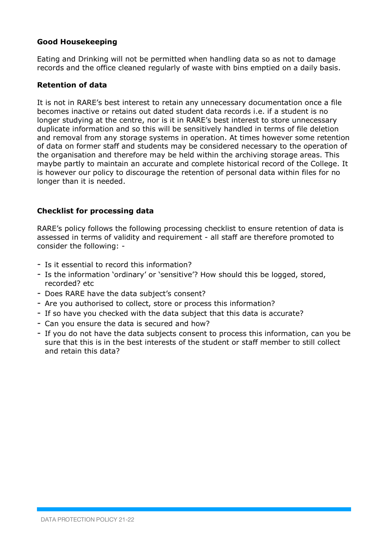#### **Good Housekeeping**

Eating and Drinking will not be permitted when handling data so as not to damage records and the office cleaned regularly of waste with bins emptied on a daily basis.

#### **Retention of data**

It is not in RARE's best interest to retain any unnecessary documentation once a file becomes inactive or retains out dated student data records i.e. if a student is no longer studying at the centre, nor is it in RARE's best interest to store unnecessary duplicate information and so this will be sensitively handled in terms of file deletion and removal from any storage systems in operation. At times however some retention of data on former staff and students may be considered necessary to the operation of the organisation and therefore may be held within the archiving storage areas. This maybe partly to maintain an accurate and complete historical record of the College. It is however our policy to discourage the retention of personal data within files for no longer than it is needed.

# **Checklist for processing data**

RARE's policy follows the following processing checklist to ensure retention of data is assessed in terms of validity and requirement - all staff are therefore promoted to consider the following: -

- Is it essential to record this information?
- Is the information 'ordinary' or 'sensitive'? How should this be logged, stored, recorded? etc
- Does RARE have the data subject's consent?
- Are you authorised to collect, store or process this information?
- If so have you checked with the data subject that this data is accurate?
- Can you ensure the data is secured and how?
- If you do not have the data subjects consent to process this information, can you be sure that this is in the best interests of the student or staff member to still collect and retain this data?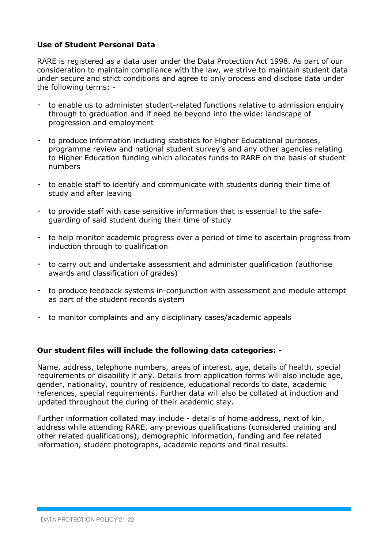## **Use of Student Personal Data**

RARE is registered as a data user under the Data Protection Act 1998. As part of our consideration to maintain compliance with the law, we strive to maintain student data under secure and strict conditions and agree to only process and disclose data under the following terms: -

- to enable us to administer student-related functions relative to admission enquiry through to graduation and if need be beyond into the wider landscape of progression and employment
- to produce information including statistics for Higher Educational purposes, programme review and national student survey's and any other agencies relating to Higher Education funding which allocates funds to RARE on the basis of student numbers
- to enable staff to identify and communicate with students during their time of study and after leaving
- to provide staff with case sensitive information that is essential to the safeguarding of said student during their time of study
- to help monitor academic progress over a period of time to ascertain progress from induction through to qualification
- to carry out and undertake assessment and administer qualification (authorise awards and classification of grades)
- to produce feedback systems in-conjunction with assessment and module attempt as part of the student records system
- to monitor complaints and any disciplinary cases/academic appeals

#### **Our student files will include the following data categories: -**

Name, address, telephone numbers, areas of interest, age, details of health, special requirements or disability if any. Details from application forms will also include age, gender, nationality, country of residence, educational records to date, academic references, special requirements. Further data will also be collated at induction and updated throughout the during of their academic stay.

Further information collated may include - details of home address, next of kin, address while attending RARE, any previous qualifications (considered training and other related qualifications), demographic information, funding and fee related information, student photographs, academic reports and final results.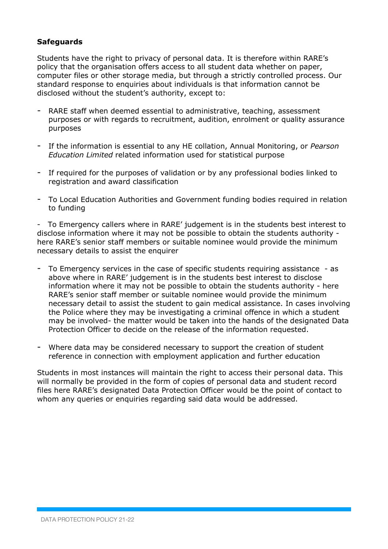# **Safeguards**

Students have the right to privacy of personal data. It is therefore within RARE's policy that the organisation offers access to all student data whether on paper, computer files or other storage media, but through a strictly controlled process. Our standard response to enquiries about individuals is that information cannot be disclosed without the student's authority, except to:

- RARE staff when deemed essential to administrative, teaching, assessment purposes or with regards to recruitment, audition, enrolment or quality assurance purposes
- If the information is essential to any HE collation, Annual Monitoring, or *Pearson Education Limited* related information used for statistical purpose
- If required for the purposes of validation or by any professional bodies linked to registration and award classification
- To Local Education Authorities and Government funding bodies required in relation to funding

- To Emergency callers where in RARE' judgement is in the students best interest to disclose information where it may not be possible to obtain the students authority here RARE's senior staff members or suitable nominee would provide the minimum necessary details to assist the enquirer

- To Emergency services in the case of specific students requiring assistance as above where in RARE' judgement is in the students best interest to disclose information where it may not be possible to obtain the students authority - here RARE's senior staff member or suitable nominee would provide the minimum necessary detail to assist the student to gain medical assistance. In cases involving the Police where they may be investigating a criminal offence in which a student may be involved- the matter would be taken into the hands of the designated Data Protection Officer to decide on the release of the information requested.
- Where data may be considered necessary to support the creation of student reference in connection with employment application and further education

Students in most instances will maintain the right to access their personal data. This will normally be provided in the form of copies of personal data and student record files here RARE's designated Data Protection Officer would be the point of contact to whom any queries or enquiries regarding said data would be addressed.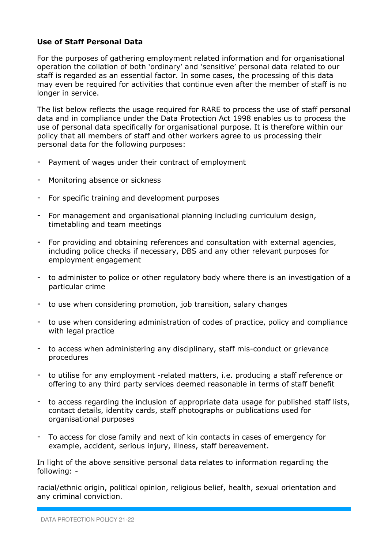# **Use of Staff Personal Data**

For the purposes of gathering employment related information and for organisational operation the collation of both 'ordinary' and 'sensitive' personal data related to our staff is regarded as an essential factor. In some cases, the processing of this data may even be required for activities that continue even after the member of staff is no longer in service.

The list below reflects the usage required for RARE to process the use of staff personal data and in compliance under the Data Protection Act 1998 enables us to process the use of personal data specifically for organisational purpose. It is therefore within our policy that all members of staff and other workers agree to us processing their personal data for the following purposes:

- Payment of wages under their contract of employment
- Monitoring absence or sickness
- For specific training and development purposes
- For management and organisational planning including curriculum design, timetabling and team meetings
- For providing and obtaining references and consultation with external agencies, including police checks if necessary, DBS and any other relevant purposes for employment engagement
- to administer to police or other regulatory body where there is an investigation of a particular crime
- to use when considering promotion, job transition, salary changes
- to use when considering administration of codes of practice, policy and compliance with legal practice
- to access when administering any disciplinary, staff mis-conduct or grievance procedures
- to utilise for any employment -related matters, i.e. producing a staff reference or offering to any third party services deemed reasonable in terms of staff benefit
- to access regarding the inclusion of appropriate data usage for published staff lists, contact details, identity cards, staff photographs or publications used for organisational purposes
- To access for close family and next of kin contacts in cases of emergency for example, accident, serious injury, illness, staff bereavement.

In light of the above sensitive personal data relates to information regarding the following: -

racial/ethnic origin, political opinion, religious belief, health, sexual orientation and any criminal conviction.